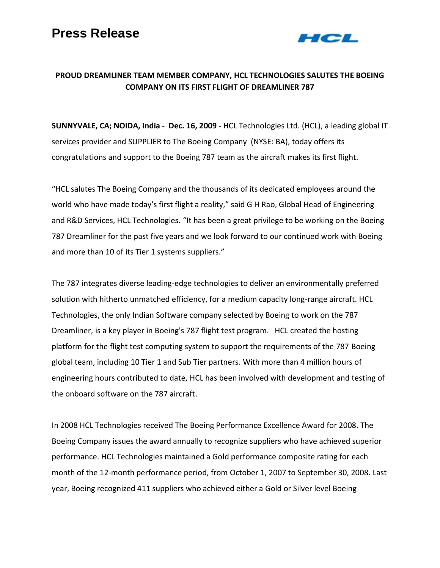

## **PROUD DREAMLINER TEAM MEMBER COMPANY, HCL TECHNOLOGIES SALUTES THE BOEING COMPANY ON ITS FIRST FLIGHT OF DREAMLINER 787**

**SUNNYVALE, CA; NOIDA, India - Dec. 16, 2009 -** HCL Technologies Ltd. (HCL), a leading global IT services provider and SUPPLIER to The Boeing Company (NYSE: BA), today offers its congratulations and support to the Boeing 787 team as the aircraft makes its first flight.

"HCL salutes The Boeing Company and the thousands of its dedicated employees around the world who have made today's first flight a reality," said G H Rao, Global Head of Engineering and R&D Services, HCL Technologies. "It has been a great privilege to be working on the Boeing 787 Dreamliner for the past five years and we look forward to our continued work with Boeing and more than 10 of its Tier 1 systems suppliers."

The 787 integrates diverse leading-edge technologies to deliver an environmentally preferred solution with hitherto unmatched efficiency, for a medium capacity long-range aircraft. HCL Technologies, the only Indian Software company selected by Boeing to work on the 787 Dreamliner, is a key player in Boeing's 787 flight test program. HCL created the hosting platform for the flight test computing system to support the requirements of the 787 Boeing global team, including 10 Tier 1 and Sub Tier partners. With more than 4 million hours of engineering hours contributed to date, HCL has been involved with development and testing of the onboard software on the 787 aircraft.

In 2008 HCL Technologies received The Boeing Performance Excellence Award for 2008. The Boeing Company issues the award annually to recognize suppliers who have achieved superior performance. HCL Technologies maintained a Gold performance composite rating for each month of the 12-month performance period, from October 1, 2007 to September 30, 2008. Last year, Boeing recognized 411 suppliers who achieved either a Gold or Silver level Boeing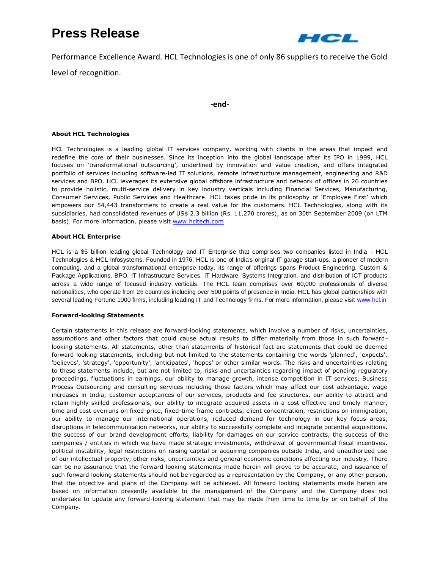# **Press Release**



Performance Excellence Award. HCL Technologies is one of only 86 suppliers to receive the Gold

level of recognition.

### **-end-**

#### **About HCL Technologies**

HCL Technologies is a leading global IT services company, working with clients in the areas that impact and redefine the core of their businesses. Since its inception into the global landscape after its IPO in 1999, HCL focuses on 'transformational outsourcing', underlined by innovation and value creation, and offers integrated portfolio of services including software-led IT solutions, remote infrastructure management, engineering and R&D services and BPO. HCL leverages its extensive global offshore infrastructure and network of offices in 26 countries to provide holistic, multi-service delivery in key industry verticals including Financial Services, Manufacturing, Consumer Services, Public Services and Healthcare. HCL takes pride in its philosophy of 'Employee First' which empowers our 54,443 transformers to create a real value for the customers. HCL Technologies, along with its subsidiaries, had consolidated revenues of US\$ 2.3 billion (Rs. 11,270 crores), as on 30th September 2009 (on LTM basis). For more information, please visit [www.hcltech.com](http://www.hcltech.com/)

### **About HCL Enterprise**

HCL is a \$5 billion leading global Technology and IT Enterprise that comprises two companies listed in India - HCL Technologies & HCL Infosystems. Founded in 1976, HCL is one of India's original IT garage start-ups, a pioneer of modern computing, and a global transformational enterprise today. Its range of offerings spans Product Engineering, Custom & Package Applications, BPO, IT Infrastructure Services, IT Hardware, Systems Integration, and distribution of ICT products across a wide range of focused industry verticals. The HCL team comprises over 60,000 professionals of diverse nationalities, who operate from 26 countries including over 500 points of presence in India. HCL has global partnerships with several leading Fortune 1000 firms, including leading IT and Technology firms. For more information, please visit [www.hcl.in](http://www.hcl.in/)

#### **Forward-looking Statements**

Certain statements in this release are forward-looking statements, which involve a number of risks, uncertainties, assumptions and other factors that could cause actual results to differ materially from those in such forwardlooking statements. All statements, other than statements of historical fact are statements that could be deemed forward looking statements, including but not limited to the statements containing the words 'planned', 'expects', 'believes', 'strategy', 'opportunity', 'anticipates', 'hopes' or other similar words. The risks and uncertainties relating to these statements include, but are not limited to, risks and uncertainties regarding impact of pending regulatory proceedings, fluctuations in earnings, our ability to manage growth, intense competition in IT services, Business Process Outsourcing and consulting services including those factors which may affect our cost advantage, wage increases in India, customer acceptances of our services, products and fee structures, our ability to attract and retain highly skilled professionals, our ability to integrate acquired assets in a cost effective and timely manner, time and cost overruns on fixed-price, fixed-time frame contracts, client concentration, restrictions on immigration, our ability to manage our international operations, reduced demand for technology in our key focus areas, disruptions in telecommunication networks, our ability to successfully complete and integrate potential acquisitions, the success of our brand development efforts, liability for damages on our service contracts, the success of the companies / entities in which we have made strategic investments, withdrawal of governmental fiscal incentives, political instability, legal restrictions on raising capital or acquiring companies outside India, and unauthorized use of our intellectual property, other risks, uncertainties and general economic conditions affecting our industry. There can be no assurance that the forward looking statements made herein will prove to be accurate, and issuance of such forward looking statements should not be regarded as a representation by the Company, or any other person, that the objective and plans of the Company will be achieved. All forward looking statements made herein are based on information presently available to the management of the Company and the Company does not undertake to update any forward-looking statement that may be made from time to time by or on behalf of the Company.